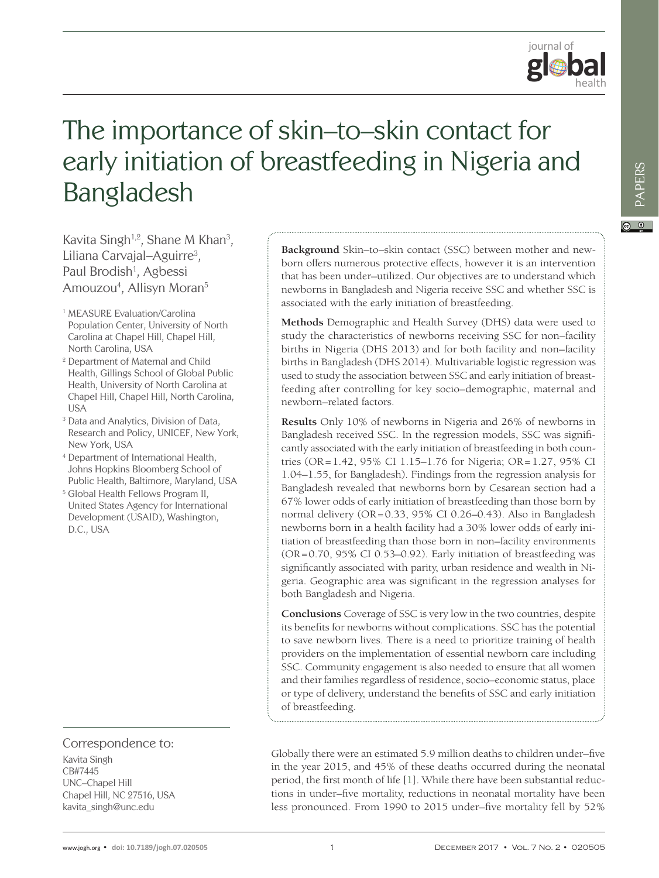

# The importance of skin–to–skin contact for early initiation of breastfeeding in Nigeria and Bangladesh

Kavita Singh<sup>1,2</sup>, Shane M Khan<sup>3</sup>, Liliana Carvajal–Aguirre<sup>3</sup>, Paul Brodish<sup>1</sup>, Agbessi Amouzou<sup>4</sup>, Allisyn Moran<sup>5</sup>

- <sup>1</sup> MEASURE Evaluation/Carolina Population Center, University of North Carolina at Chapel Hill, Chapel Hill, North Carolina, USA
- <sup>2</sup> Department of Maternal and Child Health, Gillings School of Global Public Health, University of North Carolina at Chapel Hill, Chapel Hill, North Carolina, USA
- <sup>3</sup> Data and Analytics, Division of Data, Research and Policy, UNICEF, New York, New York, USA
- <sup>4</sup> Department of International Health, Johns Hopkins Bloomberg School of Public Health, Baltimore, Maryland, USA
- <sup>5</sup> Global Health Fellows Program II, United States Agency for International Development (USAID), Washington, D.C., USA

Correspondence to:

Kavita Singh CB#7445 UNC–Chapel Hill Chapel Hill, NC 27516, USA kavita\_singh@unc.edu

**Background** Skin–to–skin contact (SSC) between mother and newborn offers numerous protective effects, however it is an intervention that has been under–utilized. Our objectives are to understand which newborns in Bangladesh and Nigeria receive SSC and whether SSC is associated with the early initiation of breastfeeding.

**Methods** Demographic and Health Survey (DHS) data were used to study the characteristics of newborns receiving SSC for non–facility births in Nigeria (DHS 2013) and for both facility and non–facility births in Bangladesh (DHS 2014). Multivariable logistic regression was used to study the association between SSC and early initiation of breastfeeding after controlling for key socio–demographic, maternal and newborn–related factors.

**Results** Only 10% of newborns in Nigeria and 26% of newborns in Bangladesh received SSC. In the regression models, SSC was significantly associated with the early initiation of breastfeeding in both countries (OR=1.42, 95% CI 1.15–1.76 for Nigeria; OR=1.27, 95% CI 1.04–1.55, for Bangladesh). Findings from the regression analysis for Bangladesh revealed that newborns born by Cesarean section had a 67% lower odds of early initiation of breastfeeding than those born by normal delivery (OR=0.33, 95% CI 0.26–0.43). Also in Bangladesh newborns born in a health facility had a 30% lower odds of early initiation of breastfeeding than those born in non–facility environments (OR=0.70, 95% CI 0.53–0.92). Early initiation of breastfeeding was significantly associated with parity, urban residence and wealth in Nigeria. Geographic area was significant in the regression analyses for both Bangladesh and Nigeria.

**Conclusions** Coverage of SSC is very low in the two countries, despite its benefits for newborns without complications. SSC has the potential to save newborn lives. There is a need to prioritize training of health providers on the implementation of essential newborn care including SSC. Community engagement is also needed to ensure that all women and their families regardless of residence, socio–economic status, place or type of delivery, understand the benefits of SSC and early initiation of breastfeeding.

Globally there were an estimated 5.9 million deaths to children under–five in the year 2015, and 45% of these deaths occurred during the neonatal period, the first month of life [[1](#page-7-0)]. While there have been substantial reductions in under–five mortality, reductions in neonatal mortality have been less pronounced. From 1990 to 2015 under–five mortality fell by 52%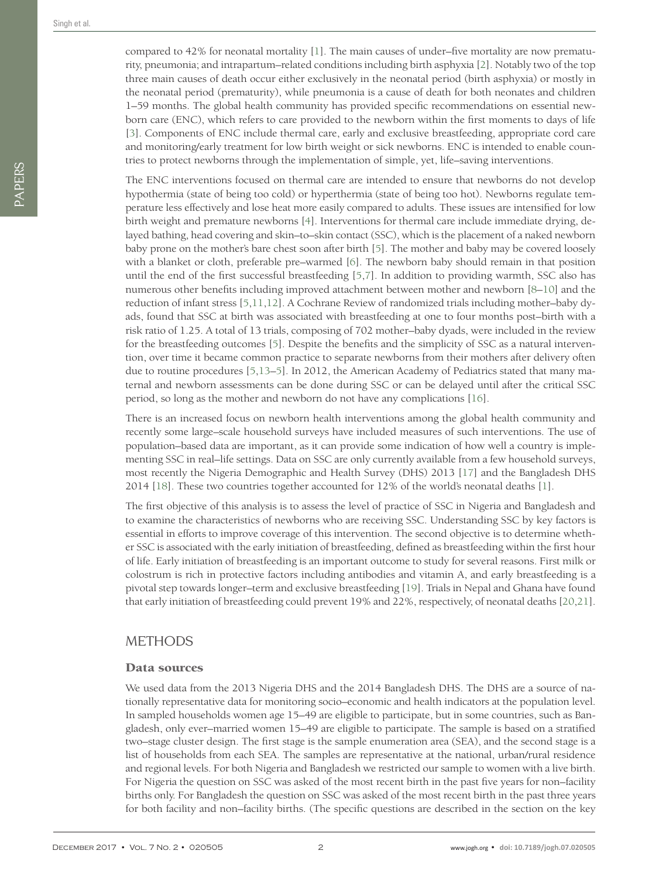PAPERS

compared to 42% for neonatal mortality [[1](#page-7-0)]. The main causes of under–five mortality are now prematurity, pneumonia; and intrapartum–related conditions including birth asphyxia [[2](#page-7-1)]. Notably two of the top three main causes of death occur either exclusively in the neonatal period (birth asphyxia) or mostly in the neonatal period (prematurity), while pneumonia is a cause of death for both neonates and children 1–59 months. The global health community has provided specific recommendations on essential newborn care (ENC), which refers to care provided to the newborn within the first moments to days of life [[3](#page-7-2)]. Components of ENC include thermal care, early and exclusive breastfeeding, appropriate cord care and monitoring/early treatment for low birth weight or sick newborns. ENC is intended to enable countries to protect newborns through the implementation of simple, yet, life–saving interventions.

The ENC interventions focused on thermal care are intended to ensure that newborns do not develop hypothermia (state of being too cold) or hyperthermia (state of being too hot). Newborns regulate temperature less effectively and lose heat more easily compared to adults. These issues are intensified for low birth weight and premature newborns [[4](#page-7-3)]. Interventions for thermal care include immediate drying, delayed bathing, head covering and skin–to–skin contact (SSC), which is the placement of a naked newborn baby prone on the mother's bare chest soon after birth [[5\]](#page-7-4). The mother and baby may be covered loosely with a blanket or cloth, preferable pre–warmed [[6](#page-7-5)]. The newborn baby should remain in that position until the end of the first successful breastfeeding [[5](#page-7-4),[7](#page-7-6)]. In addition to providing warmth, SSC also has numerous other benefits including improved attachment between mother and newborn [[8](#page-7-7)–[10](#page-7-8)] and the reduction of infant stress [[5,](#page-7-4)[11](#page-7-9),[12\]](#page-7-10). A Cochrane Review of randomized trials including mother–baby dyads, found that SSC at birth was associated with breastfeeding at one to four months post–birth with a risk ratio of 1.25. A total of 13 trials, composing of 702 mother–baby dyads, were included in the review for the breastfeeding outcomes [[5](#page-7-4)]. Despite the benefits and the simplicity of SSC as a natural intervention, over time it became common practice to separate newborns from their mothers after delivery often due to routine procedures [[5](#page-7-4),[13](#page-8-0)[–5\]](#page-8-1). In 2012, the American Academy of Pediatrics stated that many maternal and newborn assessments can be done during SSC or can be delayed until after the critical SSC period, so long as the mother and newborn do not have any complications [[16\]](#page-8-2).

There is an increased focus on newborn health interventions among the global health community and recently some large–scale household surveys have included measures of such interventions. The use of population–based data are important, as it can provide some indication of how well a country is implementing SSC in real–life settings. Data on SSC are only currently available from a few household surveys, most recently the Nigeria Demographic and Health Survey (DHS) 2013 [[17](#page-8-3)] and the Bangladesh DHS 2014 [[18](#page-8-4)]. These two countries together accounted for 12% of the world's neonatal deaths [[1](#page-7-0)].

The first objective of this analysis is to assess the level of practice of SSC in Nigeria and Bangladesh and to examine the characteristics of newborns who are receiving SSC. Understanding SSC by key factors is essential in efforts to improve coverage of this intervention. The second objective is to determine whether SSC is associated with the early initiation of breastfeeding, defined as breastfeeding within the first hour of life. Early initiation of breastfeeding is an important outcome to study for several reasons. First milk or colostrum is rich in protective factors including antibodies and vitamin A, and early breastfeeding is a pivotal step towards longer–term and exclusive breastfeeding [[19](#page-8-5)]. Trials in Nepal and Ghana have found that early initiation of breastfeeding could prevent 19% and 22%, respectively, of neonatal deaths [[20](#page-8-6),[21](#page-8-7)].

## METHODS

#### Data sources

We used data from the 2013 Nigeria DHS and the 2014 Bangladesh DHS. The DHS are a source of nationally representative data for monitoring socio–economic and health indicators at the population level. In sampled households women age 15–49 are eligible to participate, but in some countries, such as Bangladesh, only ever–married women 15–49 are eligible to participate. The sample is based on a stratified two–stage cluster design. The first stage is the sample enumeration area (SEA), and the second stage is a list of households from each SEA. The samples are representative at the national, urban/rural residence and regional levels. For both Nigeria and Bangladesh we restricted our sample to women with a live birth. For Nigeria the question on SSC was asked of the most recent birth in the past five years for non–facility births only. For Bangladesh the question on SSC was asked of the most recent birth in the past three years for both facility and non–facility births. (The specific questions are described in the section on the key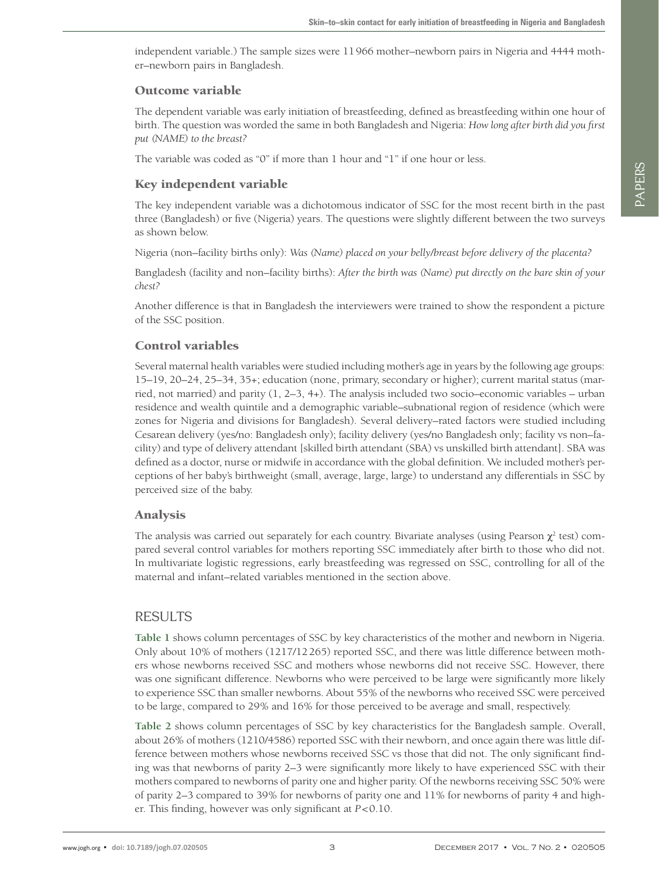independent variable.) The sample sizes were 11966 mother–newborn pairs in Nigeria and 4444 mother–newborn pairs in Bangladesh.

#### Outcome variable

The dependent variable was early initiation of breastfeeding, defined as breastfeeding within one hour of birth. The question was worded the same in both Bangladesh and Nigeria: *How long after birth did you first put (NAME) to the breast?*

The variable was coded as "0" if more than 1 hour and "1" if one hour or less.

#### Key independent variable

The key independent variable was a dichotomous indicator of SSC for the most recent birth in the past three (Bangladesh) or five (Nigeria) years. The questions were slightly different between the two surveys as shown below.

Nigeria (non–facility births only): *Was (Name) placed on your belly/breast before delivery of the placenta?*

Bangladesh (facility and non–facility births): *After the birth was (Name) put directly on the bare skin of your chest?*

Another difference is that in Bangladesh the interviewers were trained to show the respondent a picture of the SSC position.

#### Control variables

Several maternal health variables were studied including mother's age in years by the following age groups: 15–19, 20–24, 25–34, 35+; education (none, primary, secondary or higher); current marital status (married, not married) and parity (1, 2–3, 4+). The analysis included two socio–economic variables – urban residence and wealth quintile and a demographic variable–subnational region of residence (which were zones for Nigeria and divisions for Bangladesh). Several delivery–rated factors were studied including Cesarean delivery (yes/no: Bangladesh only); facility delivery (yes/no Bangladesh only; facility vs non–facility) and type of delivery attendant [skilled birth attendant (SBA) vs unskilled birth attendant]. SBA was defined as a doctor, nurse or midwife in accordance with the global definition. We included mother's perceptions of her baby's birthweight (small, average, large, large) to understand any differentials in SSC by perceived size of the baby.

#### Analysis

The analysis was carried out separately for each country. Bivariate analyses (using Pearson  $\chi^2$  test) compared several control variables for mothers reporting SSC immediately after birth to those who did not. In multivariate logistic regressions, early breastfeeding was regressed on SSC, controlling for all of the maternal and infant–related variables mentioned in the section above.

## RESULTS

**[Table 1](#page-3-0)** shows column percentages of SSC by key characteristics of the mother and newborn in Nigeria. Only about 10% of mothers (1217/12265) reported SSC, and there was little difference between mothers whose newborns received SSC and mothers whose newborns did not receive SSC. However, there was one significant difference. Newborns who were perceived to be large were significantly more likely to experience SSC than smaller newborns. About 55% of the newborns who received SSC were perceived to be large, compared to 29% and 16% for those perceived to be average and small, respectively.

**[Table 2](#page-4-0)** shows column percentages of SSC by key characteristics for the Bangladesh sample. Overall, about 26% of mothers (1210/4586) reported SSC with their newborn, and once again there was little difference between mothers whose newborns received SSC vs those that did not. The only significant finding was that newborns of parity 2–3 were significantly more likely to have experienced SSC with their mothers compared to newborns of parity one and higher parity. Of the newborns receiving SSC 50% were of parity 2–3 compared to 39% for newborns of parity one and 11% for newborns of parity 4 and higher. This finding, however was only significant at *P*<0.10.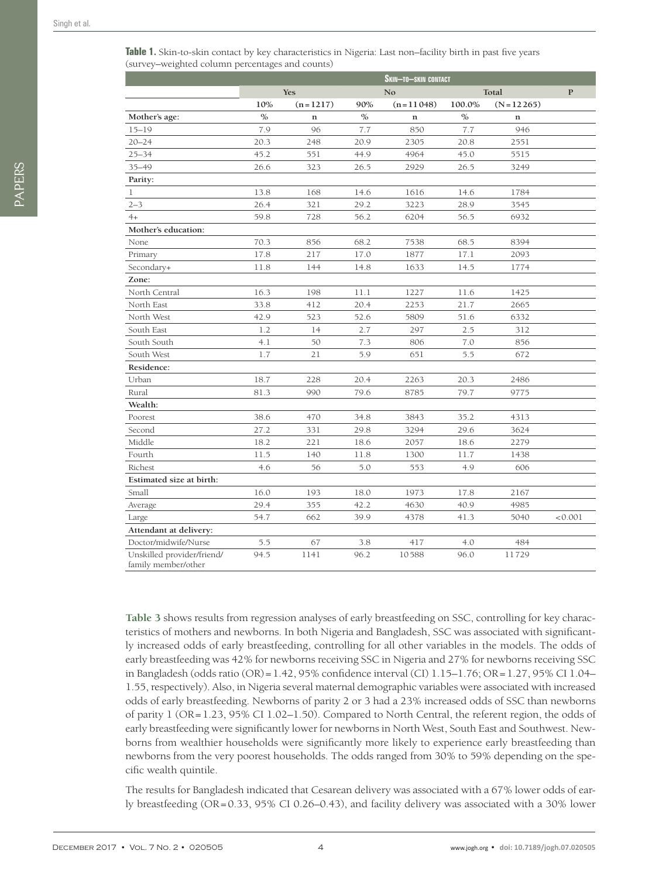|                            | SKIN-TO-SKIN CONTACT |             |      |                |        |             |         |
|----------------------------|----------------------|-------------|------|----------------|--------|-------------|---------|
|                            |                      | <b>Yes</b>  |      | N <sub>o</sub> |        | Total       |         |
|                            | 10%                  | $(n=1217)$  | 90%  | $(n=11048)$    | 100.0% | $(N=12265)$ |         |
| Mother's age:              | $\%$                 | $\mathbf n$ | $\%$ | $\mathbf n$    | $\%$   | $\mathbf n$ |         |
| $15 - 19$                  | 7.9                  | 96          | 7.7  | 850            | 7.7    | 946         |         |
| $20 - 24$                  | 20.3                 | 248         | 20.9 | 2305           | 20.8   | 2551        |         |
| $25 - 34$                  | 45.2                 | 551         | 44.9 | 4964           | 45.0   | 5515        |         |
| 35-49                      | 26.6                 | 323         | 26.5 | 2929           | 26.5   | 3249        |         |
| Parity:                    |                      |             |      |                |        |             |         |
| 1                          | 13.8                 | 168         | 14.6 | 1616           | 14.6   | 1784        |         |
| $2 - 3$                    | 26.4                 | 321         | 29.2 | 3223           | 28.9   | 3545        |         |
| $4+$                       | 59.8                 | 728         | 56.2 | 6204           | 56.5   | 6932        |         |
| Mother's education:        |                      |             |      |                |        |             |         |
| None                       | 70.3                 | 856         | 68.2 | 7538           | 68.5   | 8394        |         |
| Primary                    | 17.8                 | 217         | 17.0 | 1877           | 17.1   | 2093        |         |
| Secondary+                 | 11.8                 | 144         | 14.8 | 1633           | 14.5   | 1774        |         |
| Zone:                      |                      |             |      |                |        |             |         |
| North Central              | 16.3                 | 198         | 11.1 | 1227           | 11.6   | 1425        |         |
| North East                 | 33.8                 | 412         | 20.4 | 2253           | 21.7   | 2665        |         |
| North West                 | 42.9                 | 523         | 52.6 | 5809           | 51.6   | 6332        |         |
| South East                 | 1.2                  | 14          | 2.7  | 297            | 2.5    | 312         |         |
| South South                | 4.1                  | 50          | 7.3  | 806            | 7.0    | 856         |         |
| South West                 | 1.7                  | 21          | 5.9  | 651            | 5.5    | 672         |         |
| Residence:                 |                      |             |      |                |        |             |         |
| Urban                      | 18.7                 | 228         | 20.4 | 2263           | 20.3   | 2486        |         |
| Rural                      | 81.3                 | 990         | 79.6 | 8785           | 79.7   | 9775        |         |
| Wealth:                    |                      |             |      |                |        |             |         |
| Poorest                    | 38.6                 | 470         | 34.8 | 3843           | 35.2   | 4313        |         |
| Second                     | 27.2                 | 331         | 29.8 | 3294           | 29.6   | 3624        |         |
| Middle                     | 18.2                 | 221         | 18.6 | 2057           | 18.6   | 2279        |         |
| Fourth                     | 11.5                 | 140         | 11.8 | 1300           | 11.7   | 1438        |         |
| Richest                    | 4.6                  | 56          | 5.0  | 553            | 4.9    | 606         |         |
| Estimated size at birth:   |                      |             |      |                |        |             |         |
| Small                      | 16.0                 | 193         | 18.0 | 1973           | 17.8   | 2167        |         |
| Average                    | 29.4                 | 355         | 42.2 | 4630           | 40.9   | 4985        |         |
| Large                      | 54.7                 | 662         | 39.9 | 4378           | 41.3   | 5040        | < 0.001 |
| Attendant at delivery:     |                      |             |      |                |        |             |         |
| Doctor/midwife/Nurse       | 5.5                  | 67          | 3.8  | 417            | 4.0    | 484         |         |
| Unskilled provider/friend/ | 94.5                 | 1141        | 96.2 | 10588          | 96.0   | 11729       |         |

<span id="page-3-0"></span>**Table 1.** Skin-to-skin contact by key characteristics in Nigeria: Last non–facility birth in past five years (survey–weighted column percentages and counts)

**[Table 3](#page-5-0)** shows results from regression analyses of early breastfeeding on SSC, controlling for key characteristics of mothers and newborns. In both Nigeria and Bangladesh, SSC was associated with significantly increased odds of early breastfeeding, controlling for all other variables in the models. The odds of early breastfeeding was 42% for newborns receiving SSC in Nigeria and 27% for newborns receiving SSC in Bangladesh (odds ratio (OR)=1.42, 95% confidence interval (CI) 1.15–1.76; OR=1.27, 95% CI 1.04– 1.55, respectively). Also, in Nigeria several maternal demographic variables were associated with increased odds of early breastfeeding. Newborns of parity 2 or 3 had a 23% increased odds of SSC than newborns of parity 1 (OR=1.23, 95% CI 1.02–1.50). Compared to North Central, the referent region, the odds of early breastfeeding were significantly lower for newborns in North West, South East and Southwest. Newborns from wealthier households were significantly more likely to experience early breastfeeding than newborns from the very poorest households. The odds ranged from 30% to 59% depending on the specific wealth quintile.

The results for Bangladesh indicated that Cesarean delivery was associated with a 67% lower odds of early breastfeeding (OR=0.33, 95% CI 0.26–0.43), and facility delivery was associated with a 30% lower

family member/other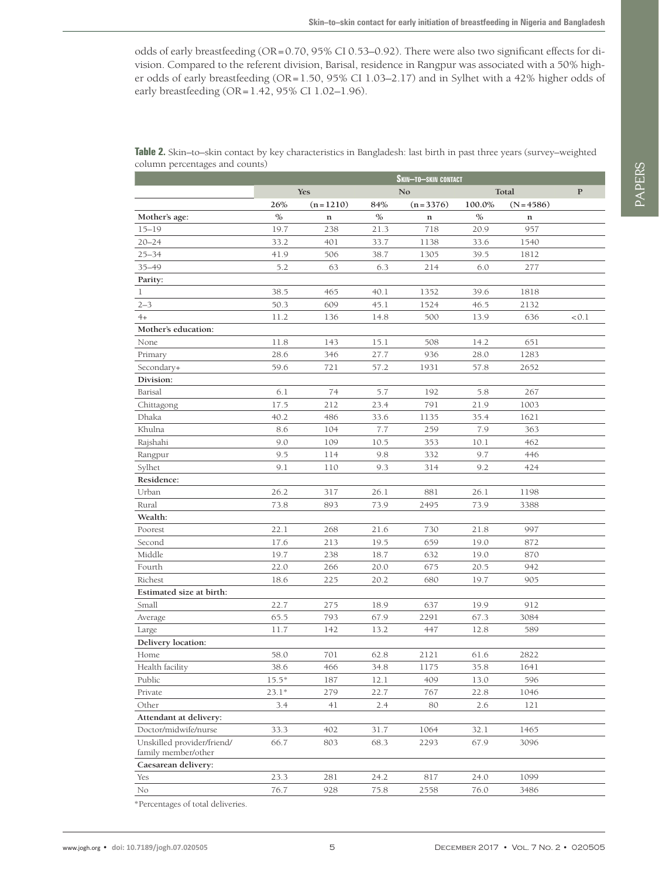odds of early breastfeeding (OR=0.70, 95% CI 0.53–0.92). There were also two significant effects for division. Compared to the referent division, Barisal, residence in Rangpur was associated with a 50% higher odds of early breastfeeding (OR=1.50, 95% CI 1.03–2.17) and in Sylhet with a 42% higher odds of early breastfeeding (OR=1.42, 95% CI 1.02–1.96).

|                            | <b>SKIN-TO-SKIN CONTACT</b> |             |      |             |        |             |              |
|----------------------------|-----------------------------|-------------|------|-------------|--------|-------------|--------------|
|                            |                             | <b>Yes</b>  |      | No          |        | Total       | $\, {\bf P}$ |
|                            | 26%                         | $(n=1210)$  | 84%  | $(n=3376)$  | 100.0% | $(N=4586)$  |              |
| Mother's age:              | $\%$                        | $\mathbf n$ | $\%$ | $\mathbf n$ | $\%$   | $\mathbf n$ |              |
| $15 - 19$                  | 19.7                        | 238         | 21.3 | 718         | 20.9   | 957         |              |
| $20 - 24$                  | 33.2                        | 401         | 33.7 | 1138        | 33.6   | 1540        |              |
| $25 - 34$                  | 41.9                        | 506         | 38.7 | 1305        | 39.5   | 1812        |              |
| $35 - 49$                  | 5.2                         | 63          | 6.3  | 214         | 6.0    | 277         |              |
| Parity:                    |                             |             |      |             |        |             |              |
| $\mathbf{1}$               | 38.5                        | 465         | 40.1 | 1352        | 39.6   | 1818        |              |
| $2 - 3$                    | 50.3                        | 609         | 45.1 | 1524        | 46.5   | 2132        |              |
| $4+$                       | 11.2                        | 136         | 14.8 | 500         | 13.9   | 636         | < 0.1        |
| Mother's education:        |                             |             |      |             |        |             |              |
| None                       | 11.8                        | 143         | 15.1 | 508         | 14.2   | 651         |              |
| Primary                    | 28.6                        | 346         | 27.7 | 936         | 28.0   | 1283        |              |
| Secondary+                 | 59.6                        | 721         | 57.2 | 1931        | 57.8   | 2652        |              |
| Division:                  |                             |             |      |             |        |             |              |
| Barisal                    | 6.1                         | 74          | 5.7  | 192         | 5.8    | 267         |              |
| Chittagong                 | 17.5                        | 212         | 23.4 | 791         | 21.9   | 1003        |              |
| Dhaka                      | 40.2                        | 486         | 33.6 | 1135        | 35.4   | 1621        |              |
| Khulna                     | 8.6                         | 104         | 7.7  | 259         | 7.9    | 363         |              |
| Rajshahi                   | 9.0                         | 109         | 10.5 | 353         | 10.1   | 462         |              |
| Rangpur                    | 9.5                         | 114         | 9.8  | 332         | 9.7    | 446         |              |
| Sylhet                     | 9.1                         | 110         | 9.3  | 314         | 9.2    | 424         |              |
| Residence:                 |                             |             |      |             |        |             |              |
| Urban                      | 26.2                        | 317         | 26.1 | 881         | 26.1   | 1198        |              |
| Rural                      | 73.8                        | 893         | 73.9 | 2495        | 73.9   | 3388        |              |
| Wealth:                    |                             |             |      |             |        |             |              |
| Poorest                    | 22.1                        | 268         | 21.6 | 730         | 21.8   | 997         |              |
| Second                     | 17.6                        | 213         | 19.5 | 659         | 19.0   | 872         |              |
| Middle                     | 19.7                        | 238         | 18.7 | 632         | 19.0   | 870         |              |
| Fourth                     | 22.0                        | 266         | 20.0 | 675         | 20.5   | 942         |              |
| Richest                    | 18.6                        | 225         | 20.2 | 680         | 19.7   | 905         |              |
| Estimated size at birth:   |                             |             |      |             |        |             |              |
| Small                      | 22.7                        | 275         | 18.9 | 637         | 19.9   | 912         |              |
| Average                    | 65.5                        | 793         | 67.9 | 2291        | 67.3   | 3084        |              |
| Large                      | 11.7                        | 142         | 13.2 | 447         | 12.8   | 589         |              |
| Delivery location:         |                             |             |      |             |        |             |              |
| Home                       | 58.0                        | 701         | 62.8 | 2121        | 61.6   | 2822        |              |
| Health facility            | 38.6                        | 466         | 34.8 | 1175        | 35.8   | 1641        |              |
| Public                     | $15.5*$                     | 187         | 12.1 | 409         | 13.0   | 596         |              |
| Private                    | $23.1*$                     | 279         | 22.7 | 767         | 22.8   | 1046        |              |
| Other                      | 3.4                         | 41          | 2.4  | 80          | 2.6    | 121         |              |
| Attendant at delivery:     |                             |             |      |             |        |             |              |
| Doctor/midwife/nurse       | 33.3                        | 402         | 31.7 | 1064        | 32.1   | 1465        |              |
| Unskilled provider/friend/ | 66.7                        | 803         | 68.3 | 2293        | 67.9   | 3096        |              |
| family member/other        |                             |             |      |             |        |             |              |
| Caesarean delivery:        |                             |             |      |             |        |             |              |
| Yes                        | 23.3                        | 281         | 24.2 | 817         | 24.0   | 1099        |              |
| No                         | 76.7                        | 928         | 75.8 | 2558        | 76.0   | 3486        |              |
|                            |                             |             |      |             |        |             |              |

<span id="page-4-0"></span>

| Table 2. Skin–to–skin contact by key characteristics in Bangladesh: last birth in past three years (survey–weighted |  |  |
|---------------------------------------------------------------------------------------------------------------------|--|--|
| column percentages and counts)                                                                                      |  |  |

\*Percentages of total deliveries.

**Contract Contract**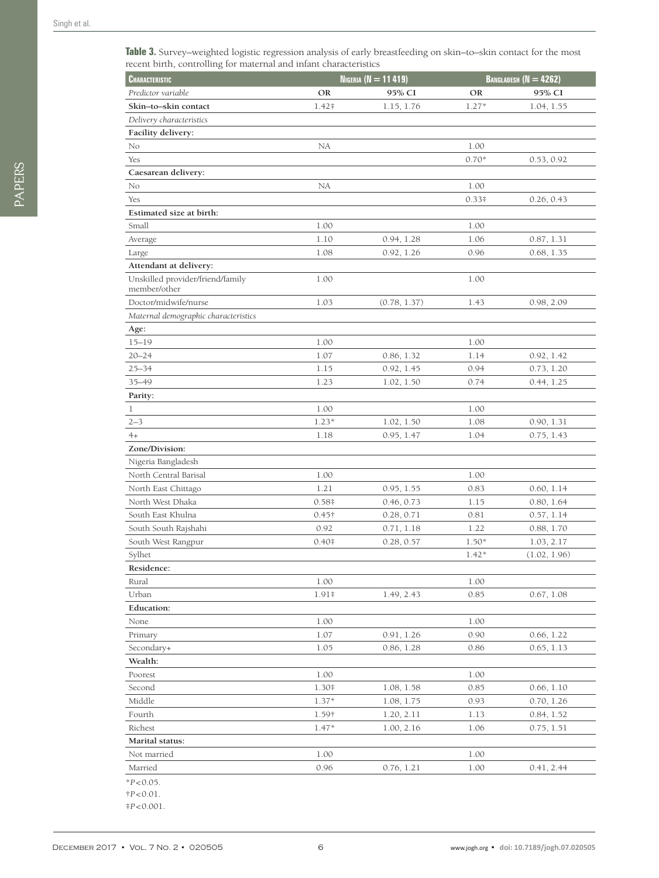<span id="page-5-0"></span>

| <b>CHARACTERISTIC</b>                            | NIGERIA (N = 11 419) |              | <b>BANGLADESH (<math>N = 4262</math>)</b> |              |  |
|--------------------------------------------------|----------------------|--------------|-------------------------------------------|--------------|--|
| Predictor variable                               | <b>OR</b>            | 95% CI       | <b>OR</b>                                 | 95% CI       |  |
| Skin-to-skin contact                             | 1.42#                | 1.15, 1.76   | $1.27*$                                   | 1.04, 1.55   |  |
| Delivery characteristics                         |                      |              |                                           |              |  |
| Facility delivery:                               |                      |              |                                           |              |  |
| No                                               | NA                   |              | 1.00                                      |              |  |
| Yes                                              |                      |              | $0.70*$                                   | 0.53, 0.92   |  |
| Caesarean delivery:                              |                      |              |                                           |              |  |
| No                                               | NA                   |              | 1.00                                      |              |  |
| Yes                                              |                      |              | $0.33*$                                   | 0.26, 0.43   |  |
| Estimated size at birth:                         |                      |              |                                           |              |  |
| Small                                            | 1.00                 |              | 1.00                                      |              |  |
| Average                                          | 1.10                 | 0.94, 1.28   | 1.06                                      | 0.87, 1.31   |  |
| Large                                            | 1.08                 | 0.92, 1.26   | 0.96                                      | 0.68, 1.35   |  |
| Attendant at delivery:                           |                      |              |                                           |              |  |
| Unskilled provider/friend/family<br>member/other | 1.00                 |              | 1.00                                      |              |  |
| Doctor/midwife/nurse                             | 1.03                 | (0.78, 1.37) | 1.43                                      | 0.98, 2.09   |  |
| Maternal demographic characteristics             |                      |              |                                           |              |  |
| Age:                                             |                      |              |                                           |              |  |
| $15 - 19$                                        | 1.00                 |              | 1.00                                      |              |  |
| $20 - 24$                                        | 1.07                 | 0.86, 1.32   | 1.14                                      | 0.92, 1.42   |  |
| $25 - 34$                                        | 1.15                 | 0.92, 1.45   | 0.94                                      | 0.73, 1.20   |  |
| $35 - 49$                                        | 1.23                 | 1.02, 1.50   | 0.74                                      | 0.44, 1.25   |  |
| Parity:                                          |                      |              |                                           |              |  |
| $\mathbf{1}$                                     | 1.00                 |              | 1.00                                      |              |  |
| $2 - 3$                                          | $1.23*$              | 1.02, 1.50   | 1.08                                      | 0.90, 1.31   |  |
| $4+$                                             | 1.18                 | 0.95, 1.47   | 1.04                                      | 0.75, 1.43   |  |
| Zone/Division:                                   |                      |              |                                           |              |  |
| Nigeria Bangladesh                               |                      |              |                                           |              |  |
| North Central Barisal                            | 1.00                 |              | 1.00                                      |              |  |
| North East Chittago                              | 1.21                 | 0.95, 1.55   | 0.83                                      | 0.60, 1.14   |  |
| North West Dhaka                                 | $0.58*$              | 0.46, 0.73   | 1.15                                      | 0.80, 1.64   |  |
| South East Khulna                                | $0.45\dagger$        | 0.28, 0.71   | 0.81                                      | 0.57, 1.14   |  |
| South South Rajshahi                             | 0.92                 | 0.71, 1.18   | 1.22                                      | 0.88, 1.70   |  |
| South West Rangpur                               | $0.40*$              | 0.28, 0.57   | $1.50*$                                   | 1.03, 2.17   |  |
| Sylhet                                           |                      |              | $1.42*$                                   | (1.02, 1.96) |  |
| Residence:                                       |                      |              |                                           |              |  |
| Rural                                            | 1.00                 |              | 1.00                                      |              |  |
| Urban                                            | 1.91#                | 1.49, 2.43   | 0.85                                      | 0.67, 1.08   |  |
| Education:                                       |                      |              |                                           |              |  |
| None                                             | 1.00                 |              | 1.00                                      |              |  |
| Primary                                          | 1.07                 | 0.91, 1.26   | 0.90                                      | 0.66, 1.22   |  |
| Secondary+                                       | 1.05                 | 0.86, 1.28   | 0.86                                      | 0.65, 1.13   |  |
| Wealth:                                          |                      |              |                                           |              |  |
| Poorest                                          | 1.00                 |              | 1.00                                      |              |  |
| Second                                           | $1.30*$              | 1.08, 1.58   | 0.85                                      | 0.66, 1.10   |  |
| Middle                                           | $1.37*$              | 1.08, 1.75   | 0.93                                      | 0.70, 1.26   |  |
| Fourth                                           | 1.59†                | 1.20, 2.11   | 1.13                                      | 0.84, 1.52   |  |
| Richest                                          | $1.47*$              | 1.00, 2.16   | 1.06                                      | 0.75, 1.51   |  |
| Marital status:                                  |                      |              |                                           |              |  |
| Not married                                      | 1.00                 |              | 1.00                                      |              |  |
| Married                                          | 0.96                 | 0.76, 1.21   | 1.00                                      | 0.41, 2.44   |  |
| $*P < 0.05$ .                                    |                      |              |                                           |              |  |
| $+P0$ 01                                         |                      |              |                                           |              |  |

†*P*<0.01. ‡*P*<0.001.

PAPERS **PAPERS**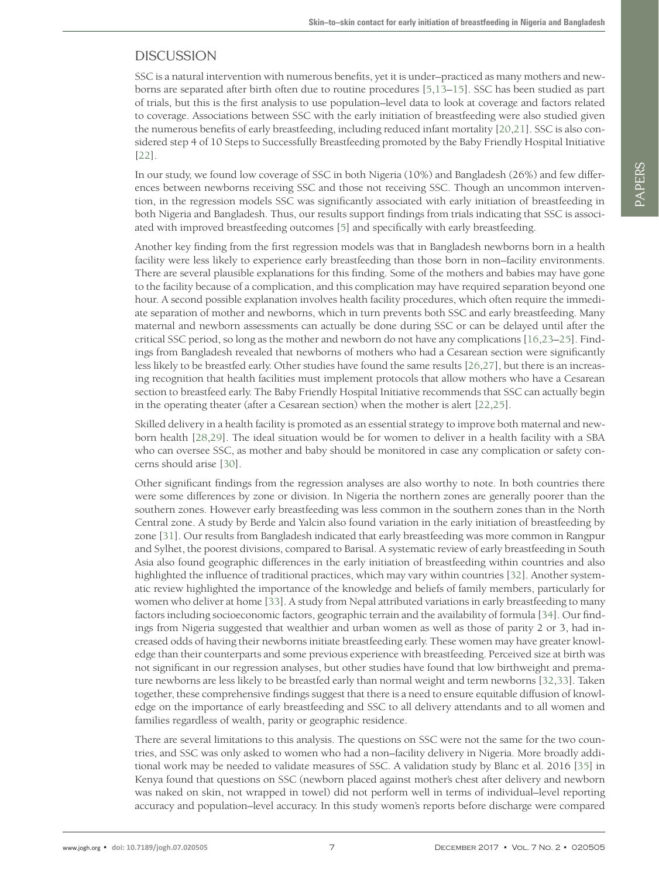## DISCUSSION

SSC is a natural intervention with numerous benefits, yet it is under–practiced as many mothers and newborns are separated after birth often due to routine procedures [[5](#page-7-4)[,13–](#page-8-0)[15\]](#page-8-1). SSC has been studied as part of trials, but this is the first analysis to use population–level data to look at coverage and factors related to coverage. Associations between SSC with the early initiation of breastfeeding were also studied given the numerous benefits of early breastfeeding, including reduced infant mortality [[20](#page-8-6)[,21](#page-8-7)]. SSC is also considered step 4 of 10 Steps to Successfully Breastfeeding promoted by the Baby Friendly Hospital Initiative [[22\]](#page-8-8).

In our study, we found low coverage of SSC in both Nigeria (10%) and Bangladesh (26%) and few differences between newborns receiving SSC and those not receiving SSC. Though an uncommon intervention, in the regression models SSC was significantly associated with early initiation of breastfeeding in both Nigeria and Bangladesh. Thus, our results support findings from trials indicating that SSC is associated with improved breastfeeding outcomes [[5](#page-7-4)] and specifically with early breastfeeding.

Another key finding from the first regression models was that in Bangladesh newborns born in a health facility were less likely to experience early breastfeeding than those born in non–facility environments. There are several plausible explanations for this finding. Some of the mothers and babies may have gone to the facility because of a complication, and this complication may have required separation beyond one hour. A second possible explanation involves health facility procedures, which often require the immediate separation of mother and newborns, which in turn prevents both SSC and early breastfeeding. Many maternal and newborn assessments can actually be done during SSC or can be delayed until after the critical SSC period, so long as the mother and newborn do not have any complications [[16](#page-8-2),[23](#page-8-9)–[25](#page-8-10)]. Findings from Bangladesh revealed that newborns of mothers who had a Cesarean section were significantly less likely to be breastfed early. Other studies have found the same results [[26](#page-8-11)[,27](#page-8-12)], but there is an increasing recognition that health facilities must implement protocols that allow mothers who have a Cesarean section to breastfeed early. The Baby Friendly Hospital Initiative recommends that SSC can actually begin in the operating theater (after a Cesarean section) when the mother is alert [[22](#page-8-8),[25](#page-8-10)].

Skilled delivery in a health facility is promoted as an essential strategy to improve both maternal and newborn health [[28](#page-8-13)[,29\]](#page-8-14). The ideal situation would be for women to deliver in a health facility with a SBA who can oversee SSC, as mother and baby should be monitored in case any complication or safety concerns should arise [[30](#page-8-15)].

Other significant findings from the regression analyses are also worthy to note. In both countries there were some differences by zone or division. In Nigeria the northern zones are generally poorer than the southern zones. However early breastfeeding was less common in the southern zones than in the North Central zone. A study by Berde and Yalcin also found variation in the early initiation of breastfeeding by zone [[31\]](#page-8-16). Our results from Bangladesh indicated that early breastfeeding was more common in Rangpur and Sylhet, the poorest divisions, compared to Barisal. A systematic review of early breastfeeding in South Asia also found geographic differences in the early initiation of breastfeeding within countries and also highlighted the influence of traditional practices, which may vary within countries [[32\]](#page-8-17). Another systematic review highlighted the importance of the knowledge and beliefs of family members, particularly for women who deliver at home [[33](#page-8-18)]. A study from Nepal attributed variations in early breastfeeding to many factors including socioeconomic factors, geographic terrain and the availability of formula [[34](#page-8-19)]. Our findings from Nigeria suggested that wealthier and urban women as well as those of parity 2 or 3, had increased odds of having their newborns initiate breastfeeding early. These women may have greater knowledge than their counterparts and some previous experience with breastfeeding. Perceived size at birth was not significant in our regression analyses, but other studies have found that low birthweight and premature newborns are less likely to be breastfed early than normal weight and term newborns [[32](#page-8-17)[,33](#page-8-18)]. Taken together, these comprehensive findings suggest that there is a need to ensure equitable diffusion of knowledge on the importance of early breastfeeding and SSC to all delivery attendants and to all women and families regardless of wealth, parity or geographic residence.

There are several limitations to this analysis. The questions on SSC were not the same for the two countries, and SSC was only asked to women who had a non–facility delivery in Nigeria. More broadly additional work may be needed to validate measures of SSC. A validation study by Blanc et al. 2016 [[35\]](#page-8-20) in Kenya found that questions on SSC (newborn placed against mother's chest after delivery and newborn was naked on skin, not wrapped in towel) did not perform well in terms of individual–level reporting accuracy and population–level accuracy. In this study women's reports before discharge were compared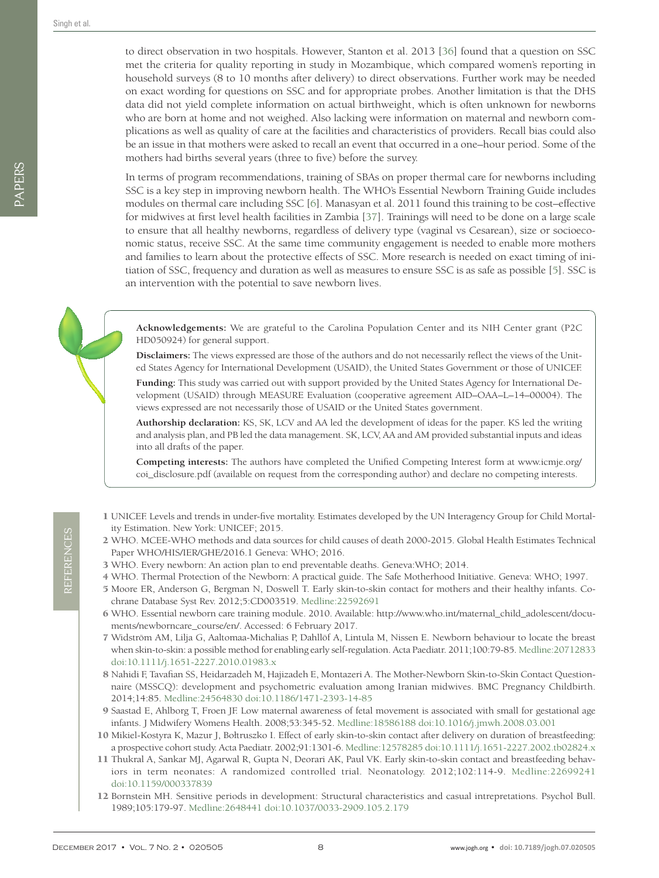to direct observation in two hospitals. However, Stanton et al. 2013 [[36](#page-8-21)] found that a question on SSC met the criteria for quality reporting in study in Mozambique, which compared women's reporting in household surveys (8 to 10 months after delivery) to direct observations. Further work may be needed on exact wording for questions on SSC and for appropriate probes. Another limitation is that the DHS data did not yield complete information on actual birthweight, which is often unknown for newborns who are born at home and not weighed. Also lacking were information on maternal and newborn complications as well as quality of care at the facilities and characteristics of providers. Recall bias could also be an issue in that mothers were asked to recall an event that occurred in a one–hour period. Some of the mothers had births several years (three to five) before the survey.

In terms of program recommendations, training of SBAs on proper thermal care for newborns including SSC is a key step in improving newborn health. The WHO's Essential Newborn Training Guide includes modules on thermal care including SSC [[6\]](#page-7-5). Manasyan et al. 2011 found this training to be cost–effective for midwives at first level health facilities in Zambia [[37](#page-8-22)]. Trainings will need to be done on a large scale to ensure that all healthy newborns, regardless of delivery type (vaginal vs Cesarean), size or socioeconomic status, receive SSC. At the same time community engagement is needed to enable more mothers and families to learn about the protective effects of SSC. More research is needed on exact timing of initiation of SSC, frequency and duration as well as measures to ensure SSC is as safe as possible [[5\]](#page-7-4). SSC is an intervention with the potential to save newborn lives.

**Acknowledgements:** We are grateful to the Carolina Population Center and its NIH Center grant (P2C HD050924) for general support.

**Disclaimers:** The views expressed are those of the authors and do not necessarily reflect the views of the United States Agency for International Development (USAID), the United States Government or those of UNICEF.

**Funding:** This study was carried out with support provided by the United States Agency for International Development (USAID) through MEASURE Evaluation (cooperative agreement AID–OAA–L–14–00004). The views expressed are not necessarily those of USAID or the United States government.

**Authorship declaration:** KS, SK, LCV and AA led the development of ideas for the paper. KS led the writing and analysis plan, and PB led the data management. SK, LCV, AA and AM provided substantial inputs and ideas into all drafts of the paper.

**Competing interests:** The authors have completed the Unified Competing Interest form at www.icmje.org/ coi\_disclosure.pdf (available on request from the corresponding author) and declare no competing interests.

- <span id="page-7-0"></span> 1 UNICEF. Levels and trends in under-five mortality. Estimates developed by the UN Interagency Group for Child Mortality Estimation. New York: UNICEF; 2015.
- <span id="page-7-1"></span> 2 WHO. MCEE-WHO methods and data sources for child causes of death 2000-2015. Global Health Estimates Technical Paper WHO/HIS/IER/GHE/2016.1 Geneva: WHO; 2016.
- <span id="page-7-2"></span>3 WHO. Every newborn: An action plan to end preventable deaths. Geneva:WHO; 2014.
- <span id="page-7-3"></span>4 WHO. Thermal Protection of the Newborn: A practical guide. The Safe Motherhood Initiative. Geneva: WHO; 1997.
- <span id="page-7-4"></span> 5 Moore ER, Anderson G, Bergman N, Doswell T. Early skin-to-skin contact for mothers and their healthy infants. Cochrane Database Syst Rev. 2012;5:CD003519. [Medline:22592691](https://www.ncbi.nlm.nih.gov/entrez/query.fcgi?cmd=Retrieve&db=PubMed&list_uids=22592691&dopt=Abstract)
- <span id="page-7-5"></span> 6 WHO. Essential newborn care training module. 2010. Available: http://www.who.int/maternal\_child\_adolescent/documents/newborncare\_course/en/. Accessed: 6 February 2017.
- <span id="page-7-6"></span> 7 Widström AM, Lilja G, Aaltomaa-Michalias P, Dahllöf A, Lintula M, Nissen E. Newborn behaviour to locate the breast when skin-to-skin: a possible method for enabling early self-regulation. Acta Paediatr. 2011;100:79-85[. Medline:20712833](https://www.ncbi.nlm.nih.gov/entrez/query.fcgi?cmd=Retrieve&db=PubMed&list_uids=20712833&dopt=Abstract) [doi:10.1111/j.1651-2227.2010.01983.x](https://doi.org/10.1111/j.1651-2227.2010.01983.x)
- <span id="page-7-7"></span> 8 Nahidi F, Tavafian SS, Heidarzadeh M, Hajizadeh E, Montazeri A. The Mother-Newborn Skin-to-Skin Contact Questionnaire (MSSCQ): development and psychometric evaluation among Iranian midwives. BMC Pregnancy Childbirth. 2014;14:85[. Medline:24564830](https://www.ncbi.nlm.nih.gov/entrez/query.fcgi?cmd=Retrieve&db=PubMed&list_uids=24564830&dopt=Abstract) [doi:10.1186/1471-2393-14-85](https://doi.org/10.1186/1471-2393-14-85)
- 9 Saastad E, Ahlborg T, Froen JF. Low maternal awareness of fetal movement is associated with small for gestational age infants. J Midwifery Womens Health. 2008;53:345-52. [Medline:18586188](https://www.ncbi.nlm.nih.gov/entrez/query.fcgi?cmd=Retrieve&db=PubMed&list_uids=18586188&dopt=Abstract) [doi:10.1016/j.jmwh.2008.03.001](https://doi.org/10.1016/j.jmwh.2008.03.001)
- <span id="page-7-8"></span>10 Mikiel-Kostyra K, Mazur J, Bołtruszko I. Effect of early skin-to-skin contact after delivery on duration of breastfeeding: a prospective cohort study. Acta Paediatr. 2002;91:1301-6. [Medline:12578285](https://www.ncbi.nlm.nih.gov/entrez/query.fcgi?cmd=Retrieve&db=PubMed&list_uids=12578285&dopt=Abstract) [doi:10.1111/j.1651-2227.2002.tb02824.x](https://doi.org/10.1111/j.1651-2227.2002.tb02824.x)
- <span id="page-7-9"></span>11 Thukral A, Sankar MJ, Agarwal R, Gupta N, Deorari AK, Paul VK. Early skin-to-skin contact and breastfeeding behaviors in term neonates: A randomized controlled trial. Neonatology. 2012;102:114-9. [Medline:22699241](https://www.ncbi.nlm.nih.gov/entrez/query.fcgi?cmd=Retrieve&db=PubMed&list_uids=22699241&dopt=Abstract) [doi:10.1159/000337839](https://doi.org/10.1159/000337839)
- <span id="page-7-10"></span>12 Bornstein MH. Sensitive periods in development: Structural characteristics and casual intrepretations. Psychol Bull. 1989;105:179-97[. Medline:2648441](https://www.ncbi.nlm.nih.gov/entrez/query.fcgi?cmd=Retrieve&db=PubMed&list_uids=2648441&dopt=Abstract) [doi:10.1037/0033-2909.105.2.179](https://doi.org/10.1037/0033-2909.105.2.179)

PAPERS